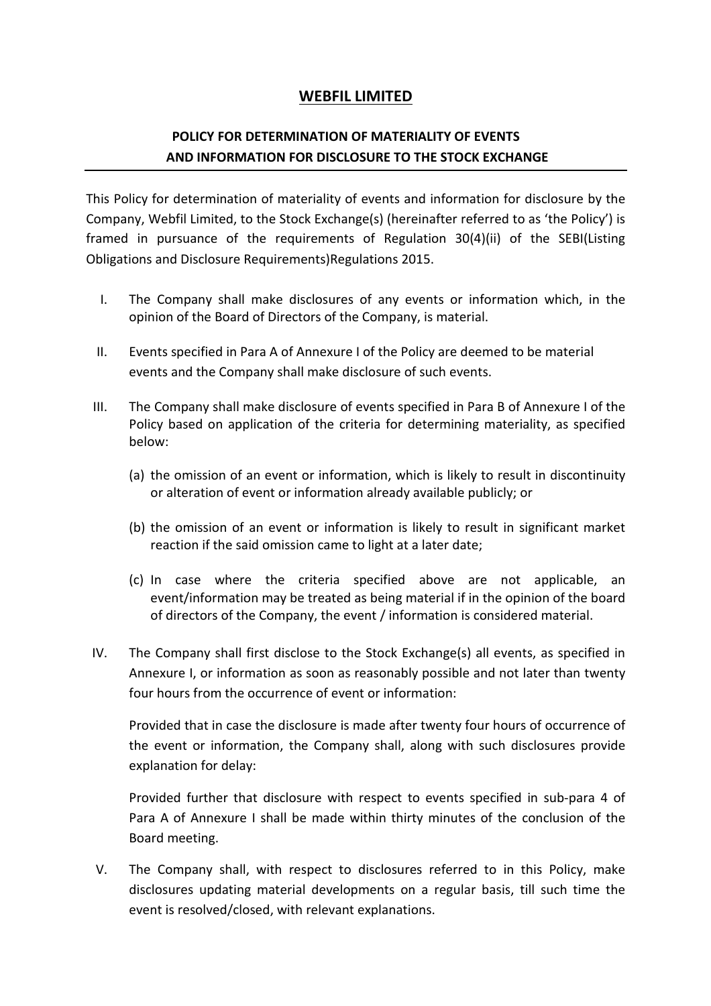## **WEBFIL LIMITED**

## **POLICY FOR DETERMINATION OF MATERIALITY OF EVENTS AND INFORMATION FOR DISCLOSURE TO THE STOCK EXCHANGE**

This Policy for determination of materiality of events and information for disclosure by the Company, Webfil Limited, to the Stock Exchange(s) (hereinafter referred to as 'the Policy') is framed in pursuance of the requirements of Regulation 30(4)(ii) of the SEBI(Listing Obligations and Disclosure Requirements)Regulations 2015.

- I. The Company shall make disclosures of any events or information which, in the opinion of the Board of Directors of the Company, is material.
- II. Events specified in Para A of Annexure I of the Policy are deemed to be material events and the Company shall make disclosure of such events.
- III. The Company shall make disclosure of events specified in Para B of Annexure I of the Policy based on application of the criteria for determining materiality, as specified below:
	- (a) the omission of an event or information, which is likely to result in discontinuity or alteration of event or information already available publicly; or
	- (b) the omission of an event or information is likely to result in significant market reaction if the said omission came to light at a later date;
	- (c) In case where the criteria specified above are not applicable, an event/information may be treated as being material if in the opinion of the board of directors of the Company, the event / information is considered material.
- IV. The Company shall first disclose to the Stock Exchange(s) all events, as specified in Annexure I, or information as soon as reasonably possible and not later than twenty four hours from the occurrence of event or information:

Provided that in case the disclosure is made after twenty four hours of occurrence of the event or information, the Company shall, along with such disclosures provide explanation for delay:

Provided further that disclosure with respect to events specified in sub-para 4 of Para A of Annexure I shall be made within thirty minutes of the conclusion of the Board meeting.

V. The Company shall, with respect to disclosures referred to in this Policy, make disclosures updating material developments on a regular basis, till such time the event is resolved/closed, with relevant explanations.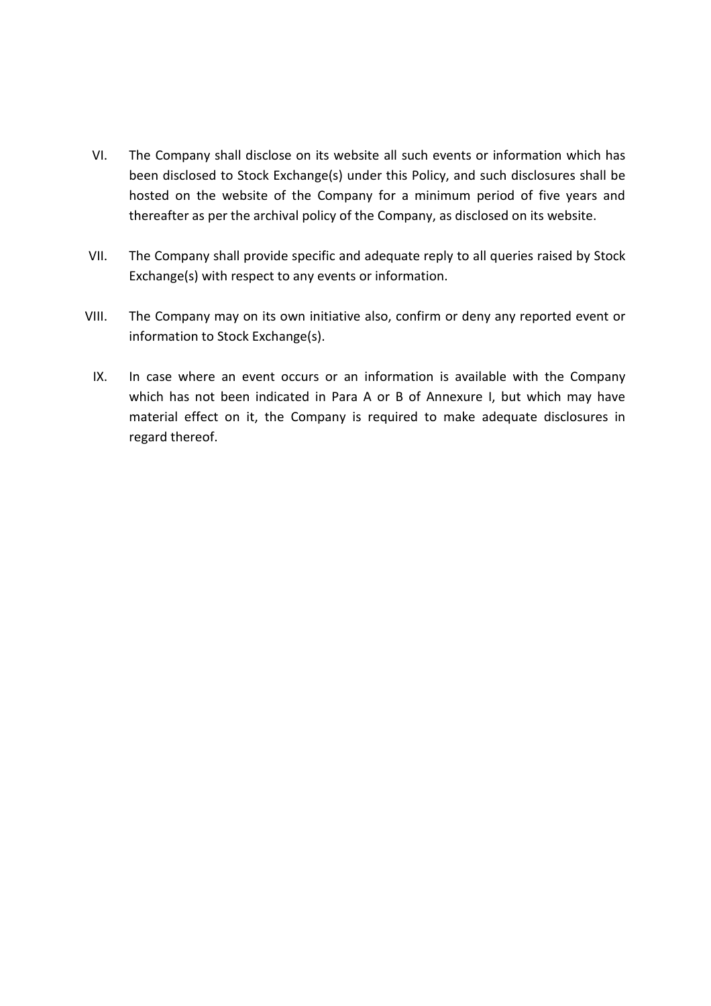- VI. The Company shall disclose on its website all such events or information which has been disclosed to Stock Exchange(s) under this Policy, and such disclosures shall be hosted on the website of the Company for a minimum period of five years and thereafter as per the archival policy of the Company, as disclosed on its website.
- VII. The Company shall provide specific and adequate reply to all queries raised by Stock Exchange(s) with respect to any events or information.
- VIII. The Company may on its own initiative also, confirm or deny any reported event or information to Stock Exchange(s).
- IX. In case where an event occurs or an information is available with the Company which has not been indicated in Para A or B of Annexure I, but which may have material effect on it, the Company is required to make adequate disclosures in regard thereof.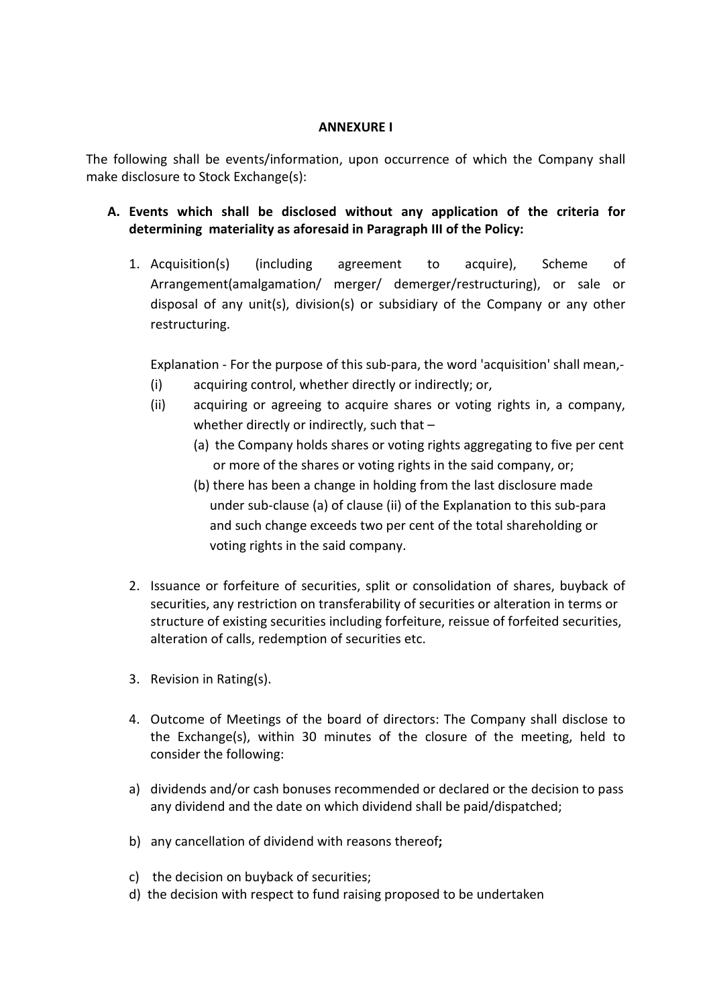## **ANNEXURE I**

The following shall be events/information, upon occurrence of which the Company shall make disclosure to Stock Exchange(s):

- **A. Events which shall be disclosed without any application of the criteria for determining materiality as aforesaid in Paragraph III of the Policy:** 
	- 1. Acquisition(s) (including agreement to acquire), Scheme of Arrangement(amalgamation/ merger/ demerger/restructuring), or sale or disposal of any unit(s), division(s) or subsidiary of the Company or any other restructuring.

Explanation - For the purpose of this sub-para, the word 'acquisition' shall mean,-

- (i) acquiring control, whether directly or indirectly; or,
- (ii) acquiring or agreeing to acquire shares or voting rights in, a company, whether directly or indirectly, such that -
	- (a) the Company holds shares or voting rights aggregating to five per cent or more of the shares or voting rights in the said company, or;
	- (b) there has been a change in holding from the last disclosure made under sub-clause (a) of clause (ii) of the Explanation to this sub-para and such change exceeds two per cent of the total shareholding or voting rights in the said company.
- 2. Issuance or forfeiture of securities, split or consolidation of shares, buyback of securities, any restriction on transferability of securities or alteration in terms or structure of existing securities including forfeiture, reissue of forfeited securities, alteration of calls, redemption of securities etc.
- 3. Revision in Rating(s).
- 4. Outcome of Meetings of the board of directors: The Company shall disclose to the Exchange(s), within 30 minutes of the closure of the meeting, held to consider the following:
- a) dividends and/or cash bonuses recommended or declared or the decision to pass any dividend and the date on which dividend shall be paid/dispatched;
- b) any cancellation of dividend with reasons thereof**;**
- c) the decision on buyback of securities;
- d) the decision with respect to fund raising proposed to be undertaken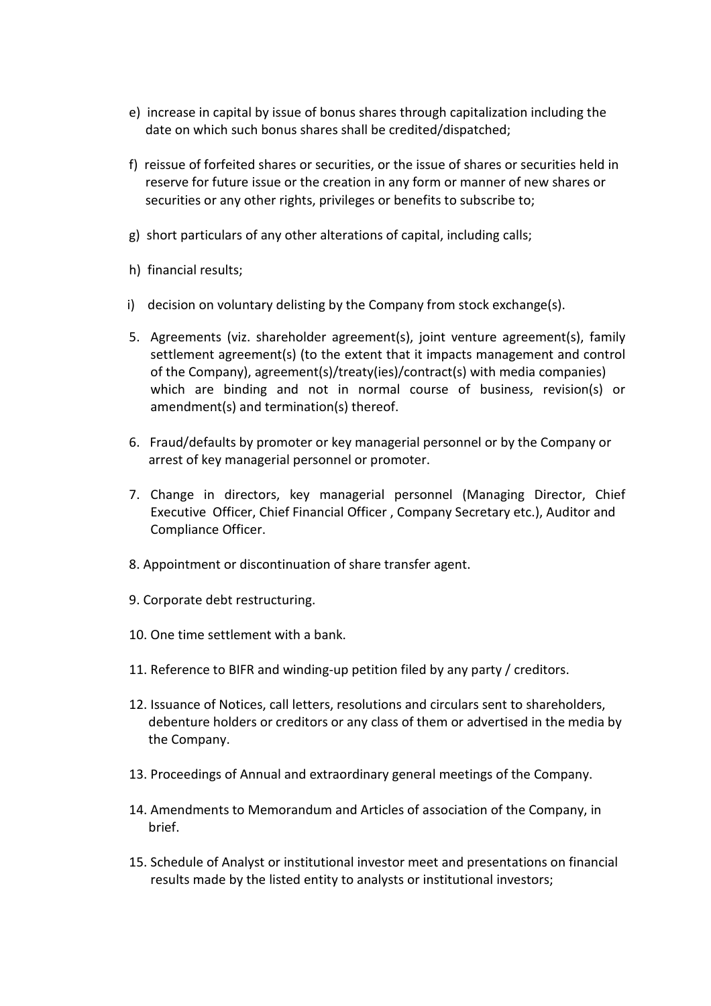- e) increase in capital by issue of bonus shares through capitalization including the date on which such bonus shares shall be credited/dispatched;
- f) reissue of forfeited shares or securities, or the issue of shares or securities held in reserve for future issue or the creation in any form or manner of new shares or securities or any other rights, privileges or benefits to subscribe to;
- g) short particulars of any other alterations of capital, including calls;
- h) financial results;
- i) decision on voluntary delisting by the Company from stock exchange(s).
- 5. Agreements (viz. shareholder agreement(s), joint venture agreement(s), family settlement agreement(s) (to the extent that it impacts management and control of the Company), agreement(s)/treaty(ies)/contract(s) with media companies) which are binding and not in normal course of business, revision(s) or amendment(s) and termination(s) thereof.
- 6. Fraud/defaults by promoter or key managerial personnel or by the Company or arrest of key managerial personnel or promoter.
- 7. Change in directors, key managerial personnel (Managing Director, Chief Executive Officer, Chief Financial Officer , Company Secretary etc.), Auditor and Compliance Officer.
- 8. Appointment or discontinuation of share transfer agent.
- 9. Corporate debt restructuring.
- 10. One time settlement with a bank.
- 11. Reference to BIFR and winding-up petition filed by any party / creditors.
- 12. Issuance of Notices, call letters, resolutions and circulars sent to shareholders, debenture holders or creditors or any class of them or advertised in the media by the Company.
- 13. Proceedings of Annual and extraordinary general meetings of the Company.
- 14. Amendments to Memorandum and Articles of association of the Company, in brief.
- 15. Schedule of Analyst or institutional investor meet and presentations on financial results made by the listed entity to analysts or institutional investors;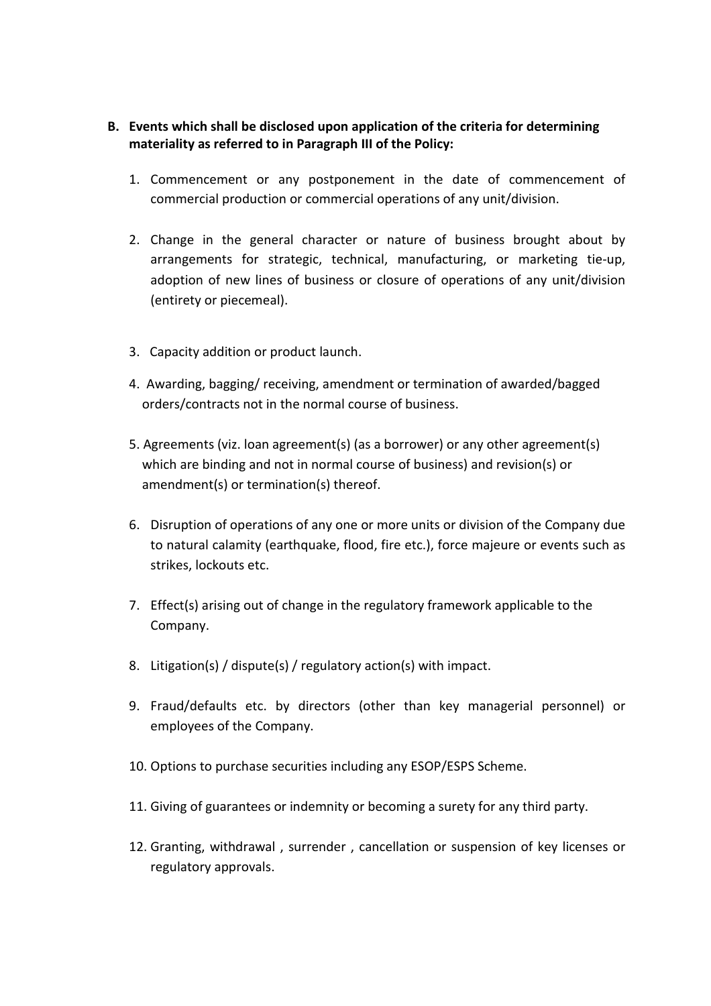- **B. Events which shall be disclosed upon application of the criteria for determining materiality as referred to in Paragraph III of the Policy:** 
	- 1. Commencement or any postponement in the date of commencement of commercial production or commercial operations of any unit/division.
	- 2. Change in the general character or nature of business brought about by arrangements for strategic, technical, manufacturing, or marketing tie-up, adoption of new lines of business or closure of operations of any unit/division (entirety or piecemeal).
	- 3. Capacity addition or product launch.
	- 4. Awarding, bagging/ receiving, amendment or termination of awarded/bagged orders/contracts not in the normal course of business.
	- 5. Agreements (viz. loan agreement(s) (as a borrower) or any other agreement(s) which are binding and not in normal course of business) and revision(s) or amendment(s) or termination(s) thereof.
	- 6. Disruption of operations of any one or more units or division of the Company due to natural calamity (earthquake, flood, fire etc.), force majeure or events such as strikes, lockouts etc.
	- 7. Effect(s) arising out of change in the regulatory framework applicable to the Company.
	- 8. Litigation(s) / dispute(s) / regulatory action(s) with impact.
	- 9. Fraud/defaults etc. by directors (other than key managerial personnel) or employees of the Company.
	- 10. Options to purchase securities including any ESOP/ESPS Scheme.
	- 11. Giving of guarantees or indemnity or becoming a surety for any third party.
	- 12. Granting, withdrawal , surrender , cancellation or suspension of key licenses or regulatory approvals.